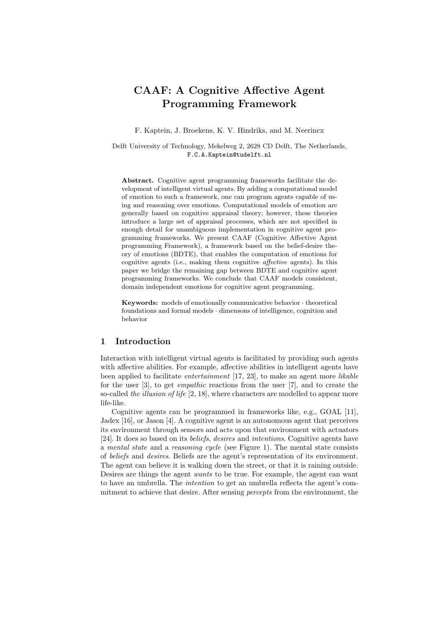# **CAAF: A Cognitive Affective Agent Programming Framework**

F. Kaptein, J. Broekens, K. V. Hindriks, and M. Neerincx

Delft University of Technology, Mekelweg 2, 2628 CD Delft, The Netherlands, F.C.A.Kaptein@tudelft.nl

**Abstract.** Cognitive agent programming frameworks facilitate the development of intelligent virtual agents. By adding a computational model of emotion to such a framework, one can program agents capable of using and reasoning over emotions. Computational models of emotion are generally based on cognitive appraisal theory; however, these theories introduce a large set of appraisal processes, which are not specified in enough detail for unambiguous implementation in cognitive agent programming frameworks. We present CAAF (Cognitive Affective Agent programming Framework), a framework based on the belief-desire theory of emotions (BDTE), that enables the computation of emotions for cognitive agents (i.e., making them cognitive *affective* agents). In this paper we bridge the remaining gap between BDTE and cognitive agent programming frameworks. We conclude that CAAF models consistent, domain independent emotions for cognitive agent programming.

**Keywords:** models of emotionally communicative behavior *·* theoretical foundations and formal models *·* dimensons of intelligence, cognition and behavior

### **1 Introduction**

Interaction with intelligent virtual agents is facilitated by providing such agents with affective abilities. For example, affective abilities in intelligent agents have been applied to facilitate *entertainment* [17, 23], to make an agent more *likable* for the user [3], to get *empathic* reactions from the user [7], and to create the so-called *the illusion of life* [2, 18], where characters are modelled to appear more life-like.

Cognitive agents can be programmed in frameworks like, e.g., GOAL [11], Jadex [16], or Jason [4]. A cognitive agent is an autonomous agent that perceives its environment through sensors and acts upon that environment with actuators [24]. It does so based on its *beliefs*, *desires* and *intentions*. Cognitive agents have a *mental state* and a *reasoning cycle* (see Figure 1). The mental state consists of *beliefs* and *desires*. Beliefs are the agent's representation of its environment. The agent can believe it is walking down the street, or that it is raining outside. Desires are things the agent *wants* to be true. For example, the agent can want to have an umbrella. The *intention* to get an umbrella reflects the agent's commitment to achieve that desire. After sensing *percepts* from the environment, the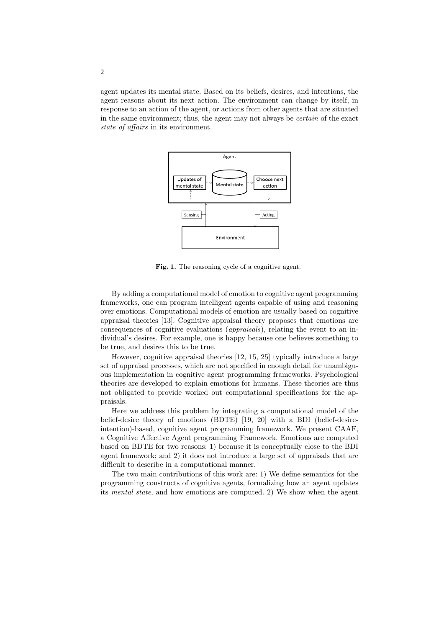agent updates its mental state. Based on its beliefs, desires, and intentions, the agent reasons about its next action. The environment can change by itself, in response to an action of the agent, or actions from other agents that are situated in the same environment; thus, the agent may not always be *certain* of the exact *state of affairs* in its environment.



Fig. 1. The reasoning cycle of a cognitive agent.

By adding a computational model of emotion to cognitive agent programming frameworks, one can program intelligent agents capable of using and reasoning over emotions. Computational models of emotion are usually based on cognitive appraisal theories [13]. Cognitive appraisal theory proposes that emotions are consequences of cognitive evaluations (*appraisals*), relating the event to an individual's desires. For example, one is happy because one believes something to be true, and desires this to be true.

However, cognitive appraisal theories [12, 15, 25] typically introduce a large set of appraisal processes, which are not specified in enough detail for unambiguous implementation in cognitive agent programming frameworks. Psychological theories are developed to explain emotions for humans. These theories are thus not obligated to provide worked out computational specifications for the appraisals.

Here we address this problem by integrating a computational model of the belief-desire theory of emotions (BDTE) [19, 20] with a BDI (belief-desireintention)-based, cognitive agent programming framework. We present CAAF, a Cognitive Affective Agent programming Framework. Emotions are computed based on BDTE for two reasons: 1) because it is conceptually close to the BDI agent framework; and 2) it does not introduce a large set of appraisals that are difficult to describe in a computational manner.

The two main contributions of this work are: 1) We define semantics for the programming constructs of cognitive agents, formalizing how an agent updates its *mental state*, and how emotions are computed. 2) We show when the agent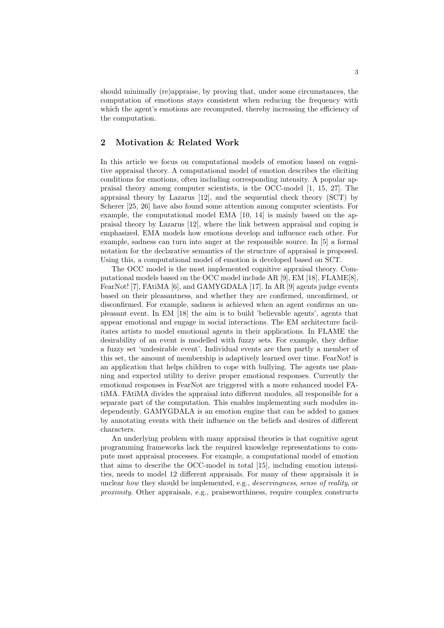should minimally (re)appraise, by proving that, under some circumstances, the computation of emotions stays consistent when reducing the frequency with which the agent's emotions are recomputed, thereby increasing the efficiency of the computation.

# **2 Motivation & Related Work**

In this article we focus on computational models of emotion based on cognitive appraisal theory. A computational model of emotion describes the eliciting conditions for emotions, often including corresponding intensity. A popular appraisal theory among computer scientists, is the OCC-model [1, 15, 27]. The appraisal theory by Lazarus [12], and the sequential check theory (SCT) by Scherer [25, 26] have also found some attention among computer scientists. For example, the computational model EMA [10, 14] is mainly based on the appraisal theory by Lazarus [12], where the link between appraisal and coping is emphasized. EMA models how emotions develop and influence each other. For example, sadness can turn into anger at the responsible source. In [5] a formal notation for the declarative semantics of the structure of appraisal is proposed. Using this, a computational model of emotion is developed based on SCT.

The OCC model is the most implemented cognitive appraisal theory. Computational models based on the OCC model include AR [9], EM [18], FLAME[8], FearNot! [7], FAtiMA [6], and GAMYGDALA [17]. In AR [9] agents judge events based on their pleasantness, and whether they are confirmed, unconfirmed, or disconfirmed. For example, sadness is achieved when an agent confirms an unpleasant event. In EM [18] the aim is to build 'believable agents', agents that appear emotional and engage in social interactions. The EM architecture facilitates artists to model emotional agents in their applications. In FLAME the desirability of an event is modelled with fuzzy sets. For example, they define a fuzzy set 'undesirable event'. Individual events are then partly a member of this set, the amount of membership is adaptively learned over time. FearNot! is an application that helps children to cope with bullying. The agents use planning and expected utility to derive proper emotional responses. Currently the emotional responses in FearNot are triggered with a more enhanced model FAtiMA. FAtiMA divides the appraisal into different modules, all responsible for a separate part of the computation. This enables implementing such modules independently. GAMYGDALA is an emotion engine that can be added to games by annotating events with their influence on the beliefs and desires of different characters.

An underlying problem with many appraisal theories is that cognitive agent programming frameworks lack the required knowledge representations to compute most appraisal processes. For example, a computational model of emotion that aims to describe the OCC-model in total [15], including emotion intensities, needs to model 12 different appraisals. For many of these appraisals it is unclear *how* they should be implemented, e.g., *deservingness*, *sense of reality*, or *proximity*. Other appraisals, e.g., praiseworthiness, require complex constructs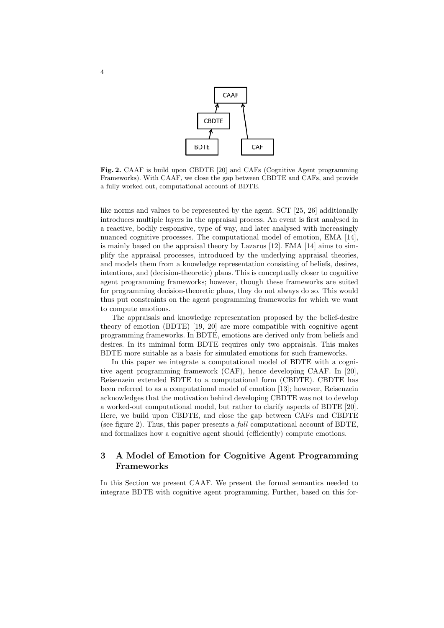

Fig. 2. CAAF is build upon CBDTE [20] and CAFs (Cognitive Agent programming Frameworks). With CAAF, we close the gap between CBDTE and CAFs, and provide a fully worked out, computational account of BDTE.

like norms and values to be represented by the agent. SCT [25, 26] additionally introduces multiple layers in the appraisal process. An event is first analysed in a reactive, bodily responsive, type of way, and later analysed with increasingly nuanced cognitive processes. The computational model of emotion, EMA [14], is mainly based on the appraisal theory by Lazarus [12]. EMA [14] aims to simplify the appraisal processes, introduced by the underlying appraisal theories, and models them from a knowledge representation consisting of beliefs, desires, intentions, and (decision-theoretic) plans. This is conceptually closer to cognitive agent programming frameworks; however, though these frameworks are suited for programming decision-theoretic plans, they do not always do so. This would thus put constraints on the agent programming frameworks for which we want to compute emotions.

The appraisals and knowledge representation proposed by the belief-desire theory of emotion (BDTE) [19, 20] are more compatible with cognitive agent programming frameworks. In BDTE, emotions are derived only from beliefs and desires. In its minimal form BDTE requires only two appraisals. This makes BDTE more suitable as a basis for simulated emotions for such frameworks.

In this paper we integrate a computational model of BDTE with a cognitive agent programming framework (CAF), hence developing CAAF. In [20], Reisenzein extended BDTE to a computational form (CBDTE). CBDTE has been referred to as a computational model of emotion [13]; however, Reisenzein acknowledges that the motivation behind developing CBDTE was not to develop a worked-out computational model, but rather to clarify aspects of BDTE [20]. Here, we build upon CBDTE, and close the gap between CAFs and CBDTE (see figure 2). Thus, this paper presents a *full* computational account of BDTE, and formalizes how a cognitive agent should (efficiently) compute emotions.

# **3 A Model of Emotion for Cognitive Agent Programming Frameworks**

In this Section we present CAAF. We present the formal semantics needed to integrate BDTE with cognitive agent programming. Further, based on this for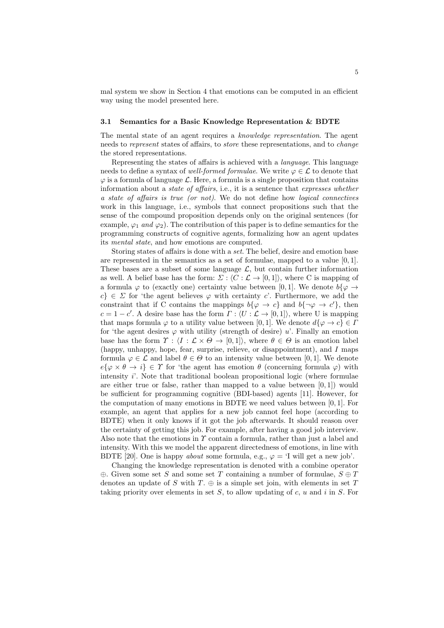mal system we show in Section 4 that emotions can be computed in an efficient way using the model presented here.

#### **3.1 Semantics for a Basic Knowledge Representation & BDTE**

The mental state of an agent requires a *knowledge representation*. The agent needs to *represent* states of affairs, to *store* these representations, and to *change* the stored representations.

Representing the states of affairs is achieved with a *language*. This language needs to define a syntax of *well-formed formulae*. We write  $\varphi \in \mathcal{L}$  to denote that  $\varphi$  is a formula of language  $\mathcal{L}$ . Here, a formula is a single proposition that contains information about a *state of affairs*, i.e., it is a sentence that *expresses whether a state of affairs is true (or not)*. We do not define how *logical connectives* work in this language, i.e., symbols that connect propositions such that the sense of the compound proposition depends only on the original sentences (for example,  $\varphi_1$  *and*  $\varphi_2$ ). The contribution of this paper is to define semantics for the programming constructs of cognitive agents, formalizing how an agent updates its *mental state*, and how emotions are computed.

Storing states of affairs is done with a *set*. The belief, desire and emotion base are represented in the semantics as a set of formulae, mapped to a value [0*,* 1]. These bases are a subset of some language  $\mathcal{L}$ , but contain further information as well. A belief base has the form:  $\Sigma : \langle C : \mathcal{L} \to [0,1] \rangle$ , where C is mapping of a formula  $\varphi$  to (exactly one) certainty value between [0, 1]. We denote  $b\{\varphi \rightarrow$  $c \} \in \Sigma$  for 'the agent believes  $\varphi$  with certainty *c*'. Furthermore, we add the constraint that if C contains the mappings  $b\{\varphi \to c\}$  and  $b\{\neg \varphi \to c'\}$ , then  $c = 1 - c'$ . A desire base has the form  $\Gamma : \langle U : \mathcal{L} \to [0,1] \rangle$ , where U is mapping that maps formula  $\varphi$  to a utility value between [0, 1]. We denote  $d\{\varphi \to c\} \in \Gamma$ for 'the agent desires  $\varphi$  with utility (strength of desire) *u*'. Finally an emotion base has the form  $\Upsilon : \mathcal{I} : \mathcal{L} \times \Theta \to [0,1]$ , where  $\theta \in \Theta$  is an emotion label (happy, unhappy, hope, fear, surprise, relieve, or disappointment), and *I* maps formula  $\varphi \in \mathcal{L}$  and label  $\theta \in \Theta$  to an intensity value between [0, 1]. We denote  $e\{\varphi \times \theta \to i\} \in \Upsilon$  for 'the agent has emotion  $\theta$  (concerning formula  $\varphi$ ) with intensity *i*'. Note that traditional boolean propositional logic (where formulae are either true or false, rather than mapped to a value between [0*,* 1]) would be sufficient for programming cognitive (BDI-based) agents [11]. However, for the computation of many emotions in BDTE we need values between [0*,* 1]. For example, an agent that applies for a new job cannot feel hope (according to BDTE) when it only knows if it got the job afterwards. It should reason over the certainty of getting this job. For example, after having a good job interview. Also note that the emotions in *Υ* contain a formula, rather than just a label and intensity. With this we model the apparent directedness of emotions, in line with BDTE [20]. One is happy *about* some formula, e.g.,  $\varphi = 1$  will get a new job'.

Changing the knowledge representation is denoted with a combine operator *⊕*. Given some set *S* and some set *T* containing a number of formulae, *S ⊕ T* denotes an update of *S* with *T*. *⊕* is a simple set join, with elements in set *T* taking priority over elements in set *S*, to allow updating of *c*, *u* and *i* in *S*. For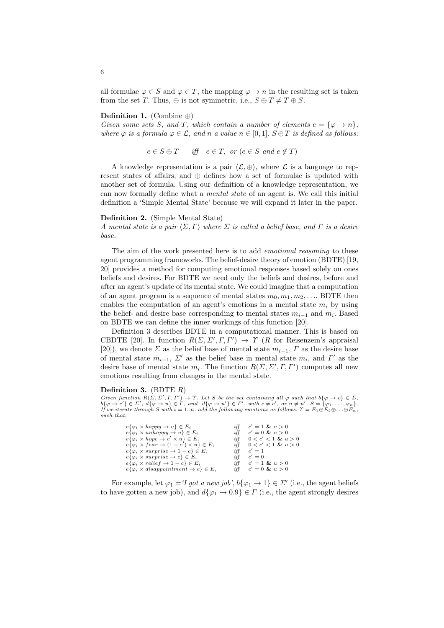all formulae  $\varphi \in S$  and  $\varphi \in T$ , the mapping  $\varphi \to n$  in the resulting set is taken from the set *T*. Thus,  $\oplus$  is not symmetric, i.e.,  $S \oplus T \neq T \oplus S$ .

#### **Definition 1.** (Combine *⊕*)

*Given some sets S, and T, which contain a number of elements*  $e = {\varphi \to n}$ *, where*  $\varphi$  *is a formula*  $\varphi \in \mathcal{L}$ *, and n a value*  $n \in [0,1]$ *.*  $S \oplus T$  *is defined as follows:* 

 $e \in S \oplus T$  *iff*  $e \in T$ , *or*  $(e \in S \text{ and } e \notin T)$ 

A knowledge representation is a pair  $\langle \mathcal{L}, \oplus \rangle$ , where  $\mathcal L$  is a language to represent states of affairs, and *⊕* defines how a set of formulae is updated with another set of formula. Using our definition of a knowledge representation, we can now formally define what a *mental state* of an agent is. We call this initial definition a 'Simple Mental State' because we will expand it later in the paper.

#### **Definition 2.** (Simple Mental State)

*A mental state is a pair ⟨Σ, Γ⟩ where Σ is called a belief base, and Γ is a desire base.*

The aim of the work presented here is to add *emotional reasoning* to these agent programming frameworks. The belief-desire theory of emotion (BDTE) [19, 20] provides a method for computing emotional responses based solely on ones beliefs and desires. For BDTE we need only the beliefs and desires, before and after an agent's update of its mental state. We could imagine that a computation of an agent program is a sequence of mental states  $m_0, m_1, m_2, \ldots$  BDTE then enables the computation of an agent's emotions in a mental state  $m<sub>i</sub>$  by using the belief- and desire base corresponding to mental states *m<sup>i</sup>−*<sup>1</sup> and *m<sup>i</sup>* . Based on BDTE we can define the inner workings of this function [20].

Definition 3 describes BDTE in a computational manner. This is based on CBDTE [20]. In function  $R(\Sigma, \Sigma', \Gamma, \Gamma') \rightarrow \Upsilon$  (*R* for Reisenzein's appraisal [20]), we denote  $\Sigma$  as the belief base of mental state  $m_{i-1}$ ,  $\Gamma$  as the desire base of mental state  $m_{i-1}$ ,  $\Sigma'$  as the belief base in mental state  $m_i$ , and  $\Gamma'$  as the desire base of mental state  $m_i$ . The function  $R(\Sigma, \Sigma', \Gamma, \Gamma')$  computes all new emotions resulting from changes in the mental state.

#### **Definition 3.** (BDTE *R*)

Given function  $R(\Sigma, \Sigma', \Gamma, \Gamma') \to \Upsilon$ . Let S be the set containing all  $\varphi$  such that  $b\{\varphi \to c\} \in \Sigma$ ,<br> $b\{\varphi \to c'\} \in \Sigma'$ ,  $d\{\varphi \to u\} \in \Gamma$ , and  $d\{\varphi \to u'\} \in \Gamma'$ , with  $c \neq c'$ , or  $u \neq u'$ .  $S = \{\varphi_1, \ldots, \varphi_n\}$ . *If* we iterate through *S* with  $i = 1..n$ , add the following emotions as follows:  $\gamma = E_1 \oplus E_2 \oplus \ldots \oplus E_n$ , *such that:*

|  | $e{\varphi_i \times happy \to u} \in E_i$                        | iff $c' = 1 \& u > 0$      |
|--|------------------------------------------------------------------|----------------------------|
|  | $e{\varphi_i \times unhappy \to u} \in E_i$                      | iff $c' = 0$ & $u > 0$     |
|  | $e{\varphi_i \times hope \to c' \times u} \in E_i$               | iff $0 < c' < 1$ & $u > 0$ |
|  | $e{\varphi_i \times \text{f}ear \to (1 - c') \times u} \in E_i$  | iff $0 < c' < 1$ & $u > 0$ |
|  | $e{\varphi_i \times surprise} \rightarrow 1-c{\in E_i}$          | iff $c'=1$                 |
|  | $e{\varphi_i \times surprise} \rightarrow c{\varphi} \in E_i$    | iff $c' = 0$               |
|  | $e{\varphi_i \times relief} \rightarrow 1 - c{\varphi_i \in E_i$ | iff $c' = 1 \& u > 0$      |
|  | $e{\varphi_i \times disappointment \to c} \in E_i$               | iff $c' = 0$ & $u > 0$     |

For example, let  $\varphi_1 = 'I \text{ got a new job'}$ ,  $b\{\varphi_1 \to 1\} \in \Sigma'$  (i.e., the agent beliefs to have gotten a new job), and  $d\{\varphi_1 \to 0.9\} \in \Gamma$  (i.e., the agent strongly desires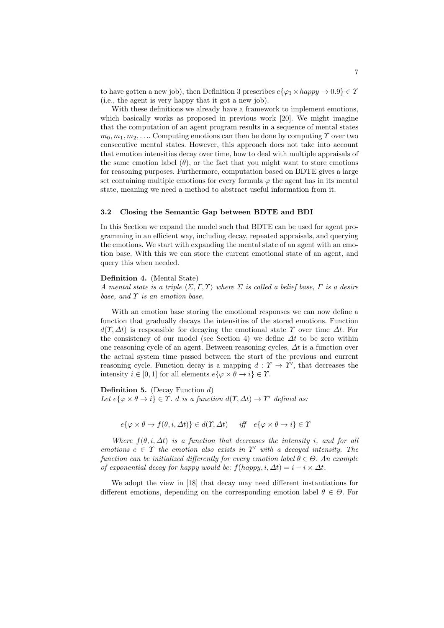to have gotten a new job), then Definition 3 prescribes  $e\{\varphi_1 \times happy \to 0.9\} \in \Upsilon$ (i.e., the agent is very happy that it got a new job).

With these definitions we already have a framework to implement emotions, which basically works as proposed in previous work [20]. We might imagine that the computation of an agent program results in a sequence of mental states *m*0*, m*1*, m*2*, . . .*. Computing emotions can then be done by computing *Υ* over two consecutive mental states. However, this approach does not take into account that emotion intensities decay over time, how to deal with multiple appraisals of the same emotion label  $(\theta)$ , or the fact that you might want to store emotions for reasoning purposes. Furthermore, computation based on BDTE gives a large set containing multiple emotions for every formula  $\varphi$  the agent has in its mental state, meaning we need a method to abstract useful information from it.

#### **3.2 Closing the Semantic Gap between BDTE and BDI**

In this Section we expand the model such that BDTE can be used for agent programming in an efficient way, including decay, repeated appraisals, and querying the emotions. We start with expanding the mental state of an agent with an emotion base. With this we can store the current emotional state of an agent, and query this when needed.

#### **Definition 4.** (Mental State)

*A mental state is a triple ⟨Σ, Γ, Υ⟩ where Σ is called a belief base, Γ is a desire base, and Υ is an emotion base.*

With an emotion base storing the emotional responses we can now define a function that gradually decays the intensities of the stored emotions. Function  $d(\Upsilon, \Delta t)$  is responsible for decaying the emotional state  $\Upsilon$  over time  $\Delta t$ . For the consistency of our model (see Section 4) we define *∆t* to be zero within one reasoning cycle of an agent. Between reasoning cycles, *∆t* is a function over the actual system time passed between the start of the previous and current reasoning cycle. Function decay is a mapping  $d: \mathcal{X} \to \mathcal{Y}'$ , that decreases the intensity  $i \in [0, 1]$  for all elements  $e\{\varphi \times \theta \to i\} \in \Upsilon$ .

**Definition 5.** (Decay Function *d*) *Let*  $e\{\varphi \times \theta \to i\} \in \Upsilon$ *. d is a function*  $d(\Upsilon, \Delta t) \to \Upsilon'$  *defined as:* 

 $e\{\varphi \times \theta \to f(\theta, i, \Delta t)\} \in d(\Upsilon, \Delta t)$  *iff*  $e\{\varphi \times \theta \to i\} \in \Upsilon$ 

*Where*  $f(\theta, i, \Delta t)$  *is a function that decreases the intensity i*, and for all *emotions*  $e \in \Upsilon$  *the emotion also exists in*  $\Upsilon'$  *with a decayed intensity. The function can be initialized differently for every emotion label*  $\theta \in \Theta$ . An example *of exponential decay for happy would be:*  $f(happy, i, \Delta t) = i - i \times \Delta t$ .

We adopt the view in [18] that decay may need different instantiations for different emotions, depending on the corresponding emotion label *θ ∈ Θ*. For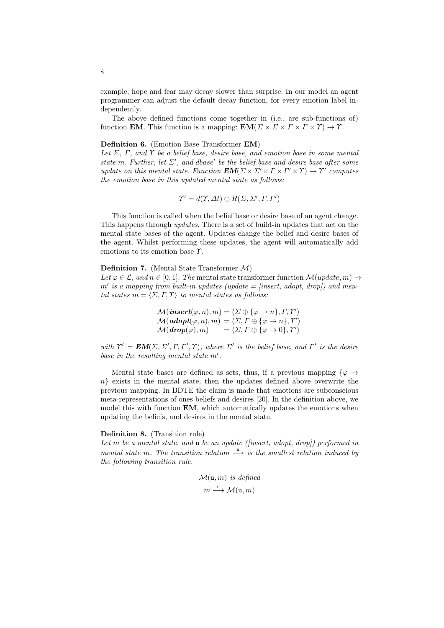example, hope and fear may decay slower than surprise. In our model an agent programmer can adjust the default decay function, for every emotion label independently.

The above defined functions come together in (i.e., are sub-functions of) function **EM**. This function is a mapping: **EM**( $\Sigma \times \Sigma \times \Gamma \times \Gamma \times \gamma$ )  $\rightarrow \gamma$ .

#### **Definition 6.** (Emotion Base Transformer **EM**)

*Let Σ, Γ, and Υ be a belief base, desire base, and emotion base in some mental state m. Further, let Σ′ , and dbase′ be the belief base and desire base after some update on this mental state. Function*  $\mathbf{EM}(\Sigma \times \Sigma' \times \Gamma \times \Gamma' \times \Gamma) \rightarrow \Upsilon'$  computes *the emotion base in this updated mental state as follows:*

$$
\Upsilon' = d(\Upsilon, \Delta t) \oplus R(\Sigma, \Sigma', \Gamma, \Gamma')
$$

This function is called when the belief base or desire base of an agent change. This happens through *updates*. There is a set of build-in updates that act on the mental state bases of the agent. Updates change the belief and desire bases of the agent. Whilst performing these updates, the agent will automatically add emotions to its emotion base *Υ*.

#### **Definition 7.** (Mental State Transformer *M*)

*Let*  $\varphi \in \mathcal{L}$ *, and*  $n \in [0,1]$ *. The* mental state transformer function  $\mathcal{M}(update, m) \rightarrow$ *m′ is a mapping from built-in updates (update = [insert, adopt, drop]) and mental states*  $m = \langle \Sigma, \Gamma, \Upsilon \rangle$  *to mental states as follows:* 

> $\mathcal{M}(insert(\varphi, n), m) = \langle \Sigma \oplus \{\varphi \to n\}, \Gamma, \Upsilon' \rangle$  $\mathcal{M}(\mathbf{adopt}(\varphi, n), m) = \langle \Sigma, \Gamma \oplus \{\varphi \to n\}, \Gamma' \rangle$  $\mathcal{M}(drop(\varphi), m) = \langle \Sigma, \Gamma \oplus \{ \varphi \to 0 \}, \Upsilon' \rangle$

*with*  $\Upsilon' = \mathbf{EM}(\Sigma, \Sigma', \Gamma, \Gamma', \mathcal{T})$ , where  $\Sigma'$  is the belief base, and  $\Gamma'$  is the desire *base in the resulting mental state m′ .*

Mental state bases are defined as sets, thus, if a previous mapping  $\{\varphi \rightarrow$ *n}* exists in the mental state, then the updates defined above overwrite the previous mapping. In BDTE the claim is made that emotions are subconscious meta-representations of ones beliefs and desires [20]. In the definition above, we model this with function **EM**, which automatically updates the emotions when updating the beliefs, and desires in the mental state.

#### **Definition 8.** (Transition rule)

*Let m be a mental state, and* u *be an update ([insert, adopt, drop]) performed in mental state m. The transition relation*  $\stackrel{u}{\longrightarrow}$  *is the smallest relation induced by the following transition rule.*

$$
\frac{\mathcal{M}(\mathbf{u}, m) \text{ is defined}}{m \xrightarrow{\mathbf{u}} \mathcal{M}(\mathbf{u}, m)}
$$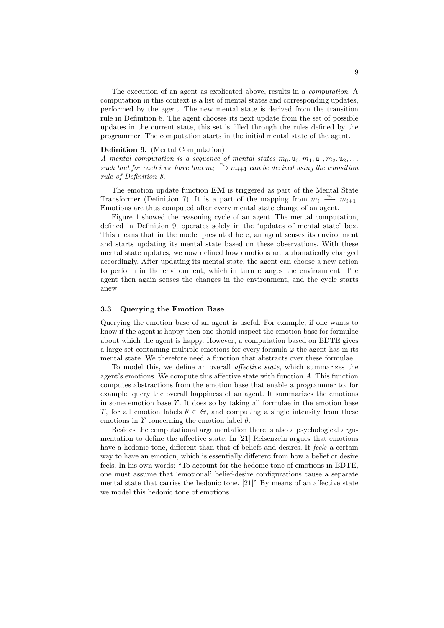The execution of an agent as explicated above, results in a *computation*. A computation in this context is a list of mental states and corresponding updates, performed by the agent. The new mental state is derived from the transition rule in Definition 8. The agent chooses its next update from the set of possible updates in the current state, this set is filled through the rules defined by the programmer. The computation starts in the initial mental state of the agent.

#### **Definition 9.** (Mental Computation)

*A* mental computation is a sequence of mental states  $m_0$ ,  $u_0$ ,  $m_1$ ,  $u_1$ ,  $m_2$ ,  $u_2$ , ... *such that for each <i>i we have that*  $m_i \xrightarrow{u_i} m_{i+1}$  *can be derived using the transition rule of Definition 8.*

The emotion update function **EM** is triggered as part of the Mental State Transformer (Definition 7). It is a part of the mapping from  $m_i \stackrel{u_i}{\longrightarrow} m_{i+1}$ . Emotions are thus computed after every mental state change of an agent.

Figure 1 showed the reasoning cycle of an agent. The mental computation, defined in Definition 9, operates solely in the 'updates of mental state' box. This means that in the model presented here, an agent senses its environment and starts updating its mental state based on these observations. With these mental state updates, we now defined how emotions are automatically changed accordingly. After updating its mental state, the agent can choose a new action to perform in the environment, which in turn changes the environment. The agent then again senses the changes in the environment, and the cycle starts anew.

#### **3.3 Querying the Emotion Base**

Querying the emotion base of an agent is useful. For example, if one wants to know if the agent is happy then one should inspect the emotion base for formulae about which the agent is happy. However, a computation based on BDTE gives a large set containing multiple emotions for every formula  $\varphi$  the agent has in its mental state. We therefore need a function that abstracts over these formulae.

To model this, we define an overall *affective state*, which summarizes the agent's emotions. We compute this affective state with function *A*. This function computes abstractions from the emotion base that enable a programmer to, for example, query the overall happiness of an agent. It summarizes the emotions in some emotion base *Υ*. It does so by taking all formulae in the emotion base *Y*, for all emotion labels  $θ ∈ Θ$ , and computing a single intensity from these emotions in  $\gamma$  concerning the emotion label  $\theta$ .

Besides the computational argumentation there is also a psychological argumentation to define the affective state. In [21] Reisenzein argues that emotions have a hedonic tone, different than that of beliefs and desires. It *feels* a certain way to have an emotion, which is essentially different from how a belief or desire feels. In his own words: "To account for the hedonic tone of emotions in BDTE, one must assume that 'emotional' belief-desire configurations cause a separate mental state that carries the hedonic tone. [21]" By means of an affective state we model this hedonic tone of emotions.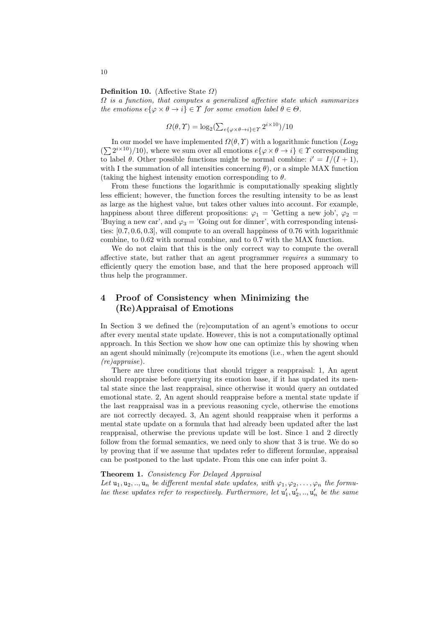#### **Definition 10.** (Affective State *Ω*)

*Ω is a function, that computes a generalized affective state which summarizes the emotions*  $e\{\varphi \times \theta \to i\} \in \Upsilon$  *for some emotion label*  $\theta \in \Theta$ *.* 

$$
\Omega(\theta, \Upsilon) = \log_2(\sum_{e \{ \varphi \times \theta \to i \} \in \Upsilon} 2^{i \times 10}) / 10
$$

In our model we have implemented  $\Omega(\theta, \Upsilon)$  with a logarithmic function (*Log*<sub>2</sub>)  $(\sum 2^{i \times 10})/10$ , where we sum over all emotions  $e\{\varphi \times \theta \to i\} \in \Upsilon$  corresponding to label  $\theta$ . Other possible functions might be normal combine:  $i' = I/(I + 1)$ , with I the summation of all intensities concerning  $\theta$ ), or a simple MAX function (taking the highest intensity emotion corresponding to *θ*.

From these functions the logarithmic is computationally speaking slightly less efficient; however, the function forces the resulting intensity to be as least as large as the highest value, but takes other values into account. For example, happiness about three different propositions:  $\varphi_1$  = 'Getting a new job',  $\varphi_2$  = 'Buying a new car', and  $\varphi_3$  = 'Going out for dinner', with corresponding intensities: [0*.*7*,* 0*.*6*,* 0*.*3], will compute to an overall happiness of 0.76 with logarithmic combine, to 0.62 with normal combine, and to 0.7 with the MAX function.

We do not claim that this is the only correct way to compute the overall affective state, but rather that an agent programmer *requires* a summary to efficiently query the emotion base, and that the here proposed approach will thus help the programmer.

# **4 Proof of Consistency when Minimizing the (Re)Appraisal of Emotions**

In Section 3 we defined the (re)computation of an agent's emotions to occur after every mental state update. However, this is not a computationally optimal approach. In this Section we show how one can optimize this by showing when an agent should minimally (re)compute its emotions (i.e., when the agent should *(re)appraise*).

There are three conditions that should trigger a reappraisal: 1, An agent should reappraise before querying its emotion base, if it has updated its mental state since the last reappraisal, since otherwise it would query an outdated emotional state. 2, An agent should reappraise before a mental state update if the last reappraisal was in a previous reasoning cycle, otherwise the emotions are not correctly decayed. 3, An agent should reappraise when it performs a mental state update on a formula that had already been updated after the last reappraisal, otherwise the previous update will be lost. Since 1 and 2 directly follow from the formal semantics, we need only to show that 3 is true. We do so by proving that if we assume that updates refer to different formulae, appraisal can be postponed to the last update. From this one can infer point 3.

**Theorem 1.** *Consistency For Delayed Appraisal*

*Let*  $u_1, u_2, \ldots, u_n$  *be different mental state updates, with*  $\varphi_1, \varphi_2, \ldots, \varphi_n$  *the formulae these updates refer to respectively. Furthermore, let*  $\mathbf{u}'_1, \mathbf{u}'_2, \ldots, \mathbf{u}'_n$  *be the same*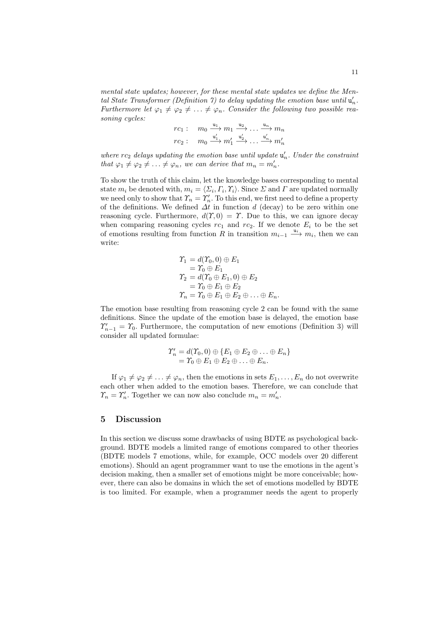*mental state updates; however, for these mental state updates we define the Mental State Transformer (Definition 7) to delay updating the emotion base until*  $\mathbf{u}'_n$ . *Furthermore let*  $\varphi_1 \neq \varphi_2 \neq \ldots \neq \varphi_n$ *. Consider the following two possible reasoning cycles:*

$$
rc_1: \t m_0 \xrightarrow{u_1} m_1 \xrightarrow{u_2} \dots \xrightarrow{u_n} m_n
$$
  

$$
rc_2: \t m_0 \xrightarrow{u'_1} m'_1 \xrightarrow{u'_2} \dots \xrightarrow{u'_n} m'_n
$$

*where*  $rc_2$  *delays updating the emotion base until update*  $\mathbf{u}'_n$ *. Under the constraint that*  $\varphi_1 \neq \varphi_2 \neq \ldots \neq \varphi_n$ , we can derive that  $m_n = m'_n$ .

To show the truth of this claim, let the knowledge bases corresponding to mental state  $m_i$  be denoted with,  $m_i = \langle \Sigma_i, \Gamma_i, \Upsilon_i \rangle$ . Since  $\Sigma$  and  $\Gamma$  are updated normally we need only to show that  $\gamma_n = \gamma'_n$ . To this end, we first need to define a property of the definitions. We defined *∆t* in function *d* (decay) to be zero within one reasoning cycle. Furthermore,  $d(\Upsilon, 0) = \Upsilon$ . Due to this, we can ignore decay when comparing reasoning cycles  $rc_1$  and  $rc_2$ . If we denote  $E_i$  to be the set of emotions resulting from function *R* in transition  $m_{i-1} \stackrel{u_i}{\longrightarrow} m_i$ , then we can write:

$$
\begin{array}{l}\n\Upsilon_1 = d(\Upsilon_0, 0) \oplus E_1 \\
= \Upsilon_0 \oplus E_1 \\
\Upsilon_2 = d(\Upsilon_0 \oplus E_1, 0) \oplus E_2 \\
= \Upsilon_0 \oplus E_1 \oplus E_2 \\
\Upsilon_n = \Upsilon_0 \oplus E_1 \oplus E_2 \oplus \ldots \oplus E_n.\n\end{array}
$$

The emotion base resulting from reasoning cycle 2 can be found with the same definitions. Since the update of the emotion base is delayed, the emotion base *Y*<sub>*n*</sub><sup> $-1$ </sup> = *Y*<sub>0</sub>. Furthermore, the computation of new emotions (Definition 3) will consider all updated formulae:

$$
\begin{aligned} \Upsilon'_n &= d(\Upsilon_0, 0) \oplus \{ E_1 \oplus E_2 \oplus \ldots \oplus E_n \} \\ &= \Upsilon_0 \oplus E_1 \oplus E_2 \oplus \ldots \oplus E_n. \end{aligned}
$$

If  $\varphi_1 \neq \varphi_2 \neq \ldots \neq \varphi_n$ , then the emotions in sets  $E_1, \ldots, E_n$  do not overwrite each other when added to the emotion bases. Therefore, we can conclude that  $\gamma_n = \gamma'_n$ . Together we can now also conclude  $m_n = m'_n$ .

# **5 Discussion**

In this section we discuss some drawbacks of using BDTE as psychological background. BDTE models a limited range of emotions compared to other theories (BDTE models 7 emotions, while, for example, OCC models over 20 different emotions). Should an agent programmer want to use the emotions in the agent's decision making, then a smaller set of emotions might be more conceivable; however, there can also be domains in which the set of emotions modelled by BDTE is too limited. For example, when a programmer needs the agent to properly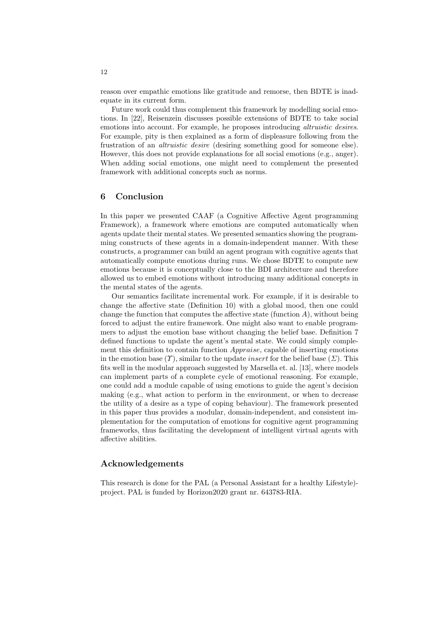reason over empathic emotions like gratitude and remorse, then BDTE is inadequate in its current form.

Future work could thus complement this framework by modelling social emotions. In [22], Reisenzein discusses possible extensions of BDTE to take social emotions into account. For example, he proposes introducing *altruistic desires*. For example, pity is then explained as a form of displeasure following from the frustration of an *altruistic desire* (desiring something good for someone else). However, this does not provide explanations for all social emotions (e.g., anger). When adding social emotions, one might need to complement the presented framework with additional concepts such as norms.

### **6 Conclusion**

In this paper we presented CAAF (a Cognitive Affective Agent programming Framework), a framework where emotions are computed automatically when agents update their mental states. We presented semantics showing the programming constructs of these agents in a domain-independent manner. With these constructs, a programmer can build an agent program with cognitive agents that automatically compute emotions during runs. We chose BDTE to compute new emotions because it is conceptually close to the BDI architecture and therefore allowed us to embed emotions without introducing many additional concepts in the mental states of the agents.

Our semantics facilitate incremental work. For example, if it is desirable to change the affective state (Definition 10) with a global mood, then one could change the function that computes the affective state (function *A*), without being forced to adjust the entire framework. One might also want to enable programmers to adjust the emotion base without changing the belief base. Definition 7 defined functions to update the agent's mental state. We could simply complement this definition to contain function *Appraise*, capable of inserting emotions in the emotion base  $(\Upsilon)$ , similar to the update *insert* for the belief base  $(\Sigma)$ . This fits well in the modular approach suggested by Marsella et. al. [13], where models can implement parts of a complete cycle of emotional reasoning. For example, one could add a module capable of using emotions to guide the agent's decision making (e.g., what action to perform in the environment, or when to decrease the utility of a desire as a type of coping behaviour). The framework presented in this paper thus provides a modular, domain-independent, and consistent implementation for the computation of emotions for cognitive agent programming frameworks, thus facilitating the development of intelligent virtual agents with affective abilities.

### **Acknowledgements**

This research is done for the PAL (a Personal Assistant for a healthy Lifestyle) project. PAL is funded by Horizon2020 grant nr. 643783-RIA.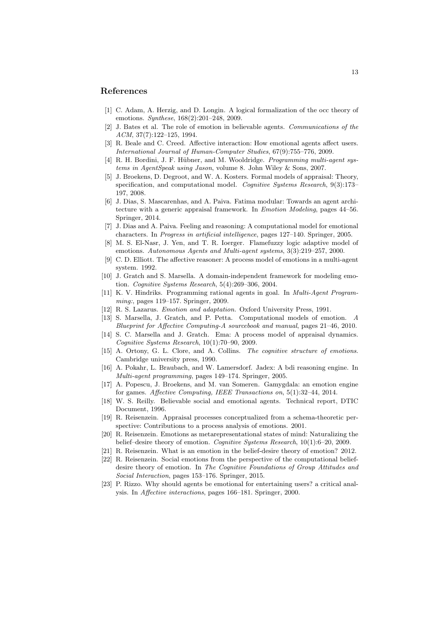## **References**

- [1] C. Adam, A. Herzig, and D. Longin. A logical formalization of the occ theory of emotions. *Synthese*, 168(2):201–248, 2009.
- [2] J. Bates et al. The role of emotion in believable agents. *Communications of the ACM*, 37(7):122–125, 1994.
- [3] R. Beale and C. Creed. Affective interaction: How emotional agents affect users. *International Journal of Human-Computer Studies*, 67(9):755–776, 2009.
- [4] R. H. Bordini, J. F. Hübner, and M. Wooldridge. *Programming multi-agent systems in AgentSpeak using Jason*, volume 8. John Wiley & Sons, 2007.
- [5] J. Broekens, D. Degroot, and W. A. Kosters. Formal models of appraisal: Theory, specification, and computational model. *Cognitive Systems Research*, 9(3):173– 197, 2008.
- [6] J. Dias, S. Mascarenhas, and A. Paiva. Fatima modular: Towards an agent architecture with a generic appraisal framework. In *Emotion Modeling*, pages 44–56. Springer, 2014.
- [7] J. Dias and A. Paiva. Feeling and reasoning: A computational model for emotional characters. In *Progress in artificial intelligence*, pages 127–140. Springer, 2005.
- [8] M. S. El-Nasr, J. Yen, and T. R. Ioerger. Flamefuzzy logic adaptive model of emotions. *Autonomous Agents and Multi-agent systems*, 3(3):219–257, 2000.
- [9] C. D. Elliott. The affective reasoner: A process model of emotions in a multi-agent system. 1992.
- [10] J. Gratch and S. Marsella. A domain-independent framework for modeling emotion. *Cognitive Systems Research*, 5(4):269–306, 2004.
- [11] K. V. Hindriks. Programming rational agents in goal. In *Multi-Agent Programming:*, pages 119–157. Springer, 2009.
- [12] R. S. Lazarus. *Emotion and adaptation.* Oxford University Press, 1991.
- [13] S. Marsella, J. Gratch, and P. Petta. Computational models of emotion. *A Blueprint for Affective Computing-A sourcebook and manual*, pages 21–46, 2010.
- [14] S. C. Marsella and J. Gratch. Ema: A process model of appraisal dynamics. *Cognitive Systems Research*, 10(1):70–90, 2009.
- [15] A. Ortony, G. L. Clore, and A. Collins. *The cognitive structure of emotions*. Cambridge university press, 1990.
- [16] A. Pokahr, L. Braubach, and W. Lamersdorf. Jadex: A bdi reasoning engine. In *Multi-agent programming*, pages 149–174. Springer, 2005.
- [17] A. Popescu, J. Broekens, and M. van Someren. Gamygdala: an emotion engine for games. *Affective Computing, IEEE Transactions on*, 5(1):32–44, 2014.
- [18] W. S. Reilly. Believable social and emotional agents. Technical report, DTIC Document, 1996.
- [19] R. Reisenzein. Appraisal processes conceptualized from a schema-theoretic perspective: Contributions to a process analysis of emotions. 2001.
- [20] R. Reisenzein. Emotions as metarepresentational states of mind: Naturalizing the belief–desire theory of emotion. *Cognitive Systems Research*, 10(1):6–20, 2009.
- [21] R. Reisenzein. What is an emotion in the belief-desire theory of emotion? 2012.
- [22] R. Reisenzein. Social emotions from the perspective of the computational beliefdesire theory of emotion. In *The Cognitive Foundations of Group Attitudes and Social Interaction*, pages 153–176. Springer, 2015.
- [23] P. Rizzo. Why should agents be emotional for entertaining users? a critical analysis. In *Affective interactions*, pages 166–181. Springer, 2000.